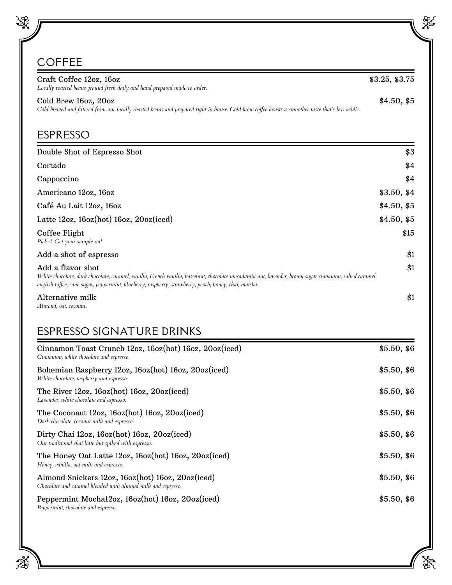## COFFEE

| Craft Coffee 12oz, 16oz<br>Locally roasted beans ground fresh daily and hand prepared made to order.                                                                                                                                                                                | \$3.25, \$3.75 |  |  |
|-------------------------------------------------------------------------------------------------------------------------------------------------------------------------------------------------------------------------------------------------------------------------------------|----------------|--|--|
| Cold Brew 16oz, 20oz<br>Cold brewed and filtered from our locally roasted beans and prepared right in house. Cold brew coffee boasts a smoother taste that's less acidic.                                                                                                           |                |  |  |
| <b>ESPRESSO</b>                                                                                                                                                                                                                                                                     |                |  |  |
| Double Shot of Espresso Shot                                                                                                                                                                                                                                                        | \$3            |  |  |
| Cortado                                                                                                                                                                                                                                                                             | \$4            |  |  |
| Cappuccino                                                                                                                                                                                                                                                                          | \$4            |  |  |
| Americano 12oz, 16oz                                                                                                                                                                                                                                                                | \$3.50, \$4    |  |  |
| Café Au Lait 12oz, 16oz                                                                                                                                                                                                                                                             | \$4.50, \$5    |  |  |
| Latte 12oz, 16oz(hot) 16oz, 20oz(iced)                                                                                                                                                                                                                                              | \$4.50, \$5    |  |  |
| Coffee Flight<br>Pick 4. Get your sample on!                                                                                                                                                                                                                                        | \$15           |  |  |
| Add a shot of espresso                                                                                                                                                                                                                                                              | \$1            |  |  |
| Add a flavor shot<br>White chocolate, dark chocolate, caramel, vanilla, French vanilla, hazelnut, chocolate macadamia nut, lavender, brown sugar cinnamon, salted caramel,<br>english toffee, cane sugar, peppermint, blueberry, raspberry, strawberry, peach, honey, chai, matcha. | \$1            |  |  |
| Alternative milk                                                                                                                                                                                                                                                                    | \$1            |  |  |

*Almond, oat, coconut.*

## ESPRESSO SIGNATURE DRINKS

| Cinnamon Toast Crunch 12oz, 16oz(hot) 16oz, 20oz(iced)<br>Cinnamon, white chocolate and espresso.                | \$5.50, \$6 |
|------------------------------------------------------------------------------------------------------------------|-------------|
| Bohemian Raspberry 12oz, 16oz(hot) 16oz, 20oz(iced)<br>White chocolate, raspberry and espresso.                  | \$5.50, \$6 |
| The River 12oz, 16oz(hot) 16oz, 20oz(iced)<br>Lavender, white chocolate and espresso.                            | \$5.50, \$6 |
| The Coconaut 12oz, 16oz(hot) 16oz, 20oz(iced)<br>Dark chocolate, coconut milk and espresso.                      | \$5.50, \$6 |
| Dirty Chai 12oz, 16oz(hot) 16oz, 20oz(iced)<br>Our traditional chai latte but spiked with espresso.              | \$5.50, \$6 |
| The Honey Oat Latte 12oz, 16oz(hot) 16oz, 20oz(iced)<br>Honey, vanilla, oat milk and espresso.                   | \$5.50, \$6 |
| Almond Snickers 12oz, 16oz(hot) 16oz, 20oz(iced)<br>Chocolate and caramel blended with almond milk and espresso. | \$5.50, \$6 |
| Peppermint Mochal2oz, 16oz(hot) 16oz, 20oz(iced)<br>Peppermint, chocolate and espresso.                          | \$5.50, \$6 |

X

L